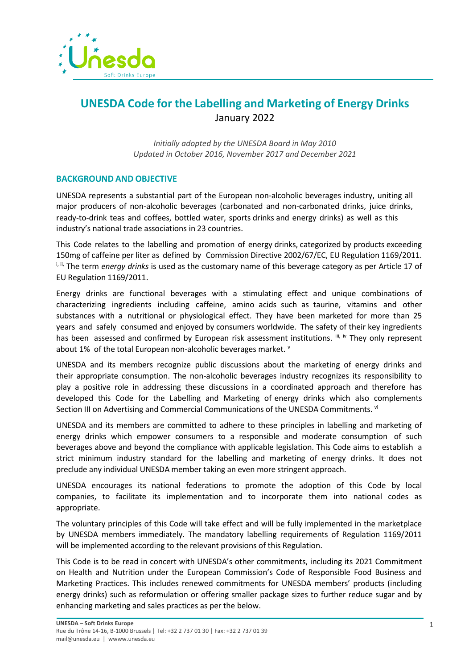

## **UNESDA Code for the Labelling and Marketing of Energy Drinks** January 2022

*Initially adopted by the UNESDA Board in May 2010 Updated in October 2016, November 2017 and December 2021*

## **BACKGROUND AND OBJECTIVE**

UNESDA represents a substantial part of the European non-alcoholic beverages industry, uniting all major producers of non-alcoholic beverages (carbonated and non-carbonated drinks, juice drinks, ready-to-drink teas and coffees, bottled water, sports drinks and energy drinks) as well as this industry's national trade associations in 23 countries.

This Code relates to the labelling and promotion of energy drinks, categorized by products exceeding 150mg of caffeine per liter as defined by Commission Directive 2002/67/EC, EU Regulation 1169/2011. i, ii, The term *energy drinks* is used as the customary name of this beverage category as per Article 17 of EU Regulation 1169/2011.

Energy drinks are functional beverages with a stimulating effect and unique combinations of characterizing ingredients including caffeine, amino acids such as taurine, vitamins and other substances with a nutritional or physiological effect. They have been marketed for more than 25 years and safely consumed and enjoyed by consumers worldwide. The safety of their key ingredients has been assessed and confirmed by European risk assessment institutions. iii, iv They only represent about 1% of the total European non-alcoholic beverages market. V

UNESDA and its members recognize public discussions about the marketing of energy drinks and their appropriate consumption. The non-alcoholic beverages industry recognizes its responsibility to play a positive role in addressing these discussions in a coordinated approach and therefore has developed this Code for the Labelling and Marketing of energy drinks which also complements Section III on Advertising and Commercial Communications of the UNESDA Commitments. vi

UNESDA and its members are committed to adhere to these principles in labelling and marketing of energy drinks which empower consumers to a responsible and moderate consumption of such beverages above and beyond the compliance with applicable legislation. This Code aims to establish a strict minimum industry standard for the labelling and marketing of energy drinks. It does not preclude any individual UNESDA member taking an even more stringent approach.

UNESDA encourages its national federations to promote the adoption of this Code by local companies, to facilitate its implementation and to incorporate them into national codes as appropriate.

The voluntary principles of this Code will take effect and will be fully implemented in the marketplace by UNESDA members immediately. The mandatory labelling requirements of Regulation 1169/2011 will be implemented according to the relevant provisions of this Regulation.

This Code is to be read in concert with UNESDA's other commitments, including its 2021 Commitment on Health and Nutrition under the European Commission's Code of Responsible Food Business and Marketing Practices. This includes renewed commitments for UNESDA members' products (including energy drinks) such as reformulation or offering smaller package sizes to further reduce sugar and by enhancing marketing and sales practices as per the below.